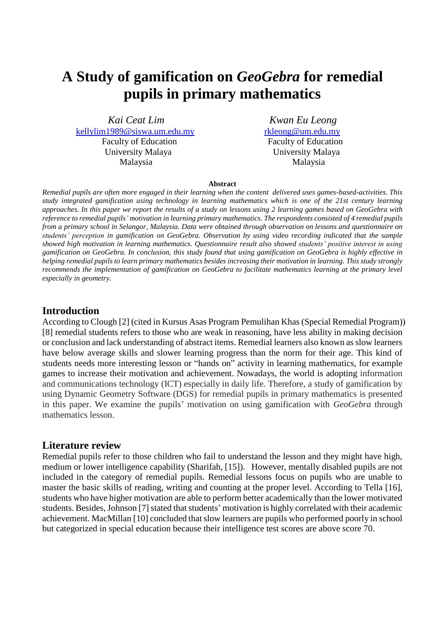# **A Study of gamification on** *GeoGebra* **for remedial pupils in primary mathematics**

*Kai Ceat Lim Kwan Eu Leong* [kellylim1989@siswa.um.edu.my](mailto:kellylim1989@siswa.um.edu.my) [rkleong@um.edu.my](mailto:rkleong@um.edu.my) Faculty of Education Faculty of Education University Malaya University Malaya Malaysia Malaysia

#### **Abstract**

*Remedial pupils are often more engaged in their learning when the content delivered uses games-based-activities. This study integrated gamification using technology in learning mathematics which is one of the 21st century learning approaches. In this paper we report the results of a study on lessons using 2 learning games based on GeoGebra with reference to remedial pupils' motivation in learning primary mathematics. The respondents consisted of 4 remedial pupils from a primary school in Selangor, Malaysia. Data were obtained through observation on lessons and questionnaire on students' perception in gamification on GeoGebra. Observation by using video recording indicated that the sample showed high motivation in learning mathematics. Questionnaire result also showed students' positive interest in using gamification on GeoGebra. In conclusion, this study found that using gamification on GeoGebra is highly effective in helping remedial pupils to learn primary mathematics besides increasing their motivation in learning. This study strongly recommends the implementation of gamification on GeoGebra to facilitate mathematics learning at the primary level especially in geometry.*

## **Introduction**

According to Clough [2] (cited in Kursus Asas Program Pemulihan Khas (Special Remedial Program)) [8] remedial students refers to those who are weak in reasoning, have less ability in making decision or conclusion and lack understanding of abstract items. Remedial learners also known as slow learners have below average skills and slower learning progress than the norm for their age. This kind of students needs more interesting lesson or "hands on" activity in learning mathematics, for example games to increase their motivation and achievement. Nowadays, the world is adopting information and communications technology (ICT) especially in daily life. Therefore, a study of gamification by using Dynamic Geometry Software (DGS) for remedial pupils in primary mathematics is presented in this paper. We examine the pupils' motivation on using gamification with *GeoGebra* through mathematics lesson.

## **Literature review**

Remedial pupils refer to those children who fail to understand the lesson and they might have high, medium or lower intelligence capability (Sharifah, [15]). However, mentally disabled pupils are not included in the category of remedial pupils. Remedial lessons focus on pupils who are unable to master the basic skills of reading, writing and counting at the proper level. According to Tella [16], students who have higher motivation are able to perform better academically than the lower motivated students. Besides, Johnson [7] stated that students' motivation is highly correlated with their academic achievement. MacMillan [10] concluded that slow learners are pupils who performed poorly in school but categorized in special education because their intelligence test scores are above score 70.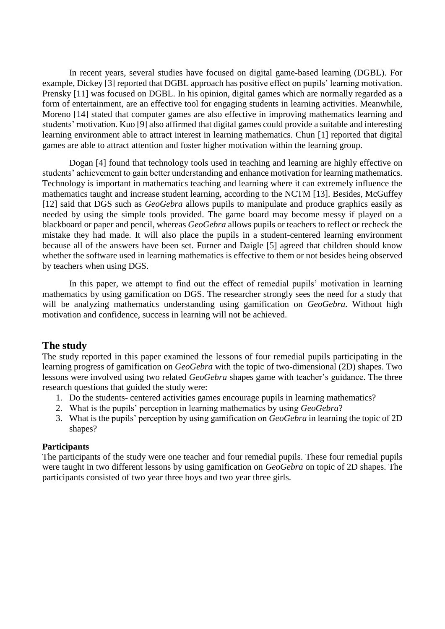In recent years, several studies have focused on digital game-based learning (DGBL). For example, Dickey [3] reported that DGBL approach has positive effect on pupils' learning motivation. Prensky [11] was focused on DGBL. In his opinion, digital games which are normally regarded as a form of entertainment, are an effective tool for engaging students in learning activities. Meanwhile, Moreno [14] stated that computer games are also effective in improving mathematics learning and students' motivation. Kuo [9] also affirmed that digital games could provide a suitable and interesting learning environment able to attract interest in learning mathematics. Chun [1] reported that digital games are able to attract attention and foster higher motivation within the learning group.

Dogan [4] found that technology tools used in teaching and learning are highly effective on students' achievement to gain better understanding and enhance motivation for learning mathematics. Technology is important in mathematics teaching and learning where it can extremely influence the mathematics taught and increase student learning, according to the NCTM [13]. Besides, McGuffey [12] said that DGS such as *GeoGebra* allows pupils to manipulate and produce graphics easily as needed by using the simple tools provided. The game board may become messy if played on a blackboard or paper and pencil, whereas *GeoGebra* allows pupils or teachers to reflect or recheck the mistake they had made. It will also place the pupils in a student-centered learning environment because all of the answers have been set. Furner and Daigle [5] agreed that children should know whether the software used in learning mathematics is effective to them or not besides being observed by teachers when using DGS.

In this paper, we attempt to find out the effect of remedial pupils' motivation in learning mathematics by using gamification on DGS. The researcher strongly sees the need for a study that will be analyzing mathematics understanding using gamification on *GeoGebra*. Without high motivation and confidence, success in learning will not be achieved.

## **The study**

The study reported in this paper examined the lessons of four remedial pupils participating in the learning progress of gamification on *GeoGebra* with the topic of two-dimensional (2D) shapes. Two lessons were involved using two related *GeoGebra* shapes game with teacher's guidance. The three research questions that guided the study were:

- 1. Do the students- centered activities games encourage pupils in learning mathematics?
- 2. What is the pupils' perception in learning mathematics by using *GeoGebra*?
- 3. What is the pupils' perception by using gamification on *GeoGebra* in learning the topic of 2D shapes?

#### **Participants**

The participants of the study were one teacher and four remedial pupils. These four remedial pupils were taught in two different lessons by using gamification on *GeoGebra* on topic of 2D shapes. The participants consisted of two year three boys and two year three girls.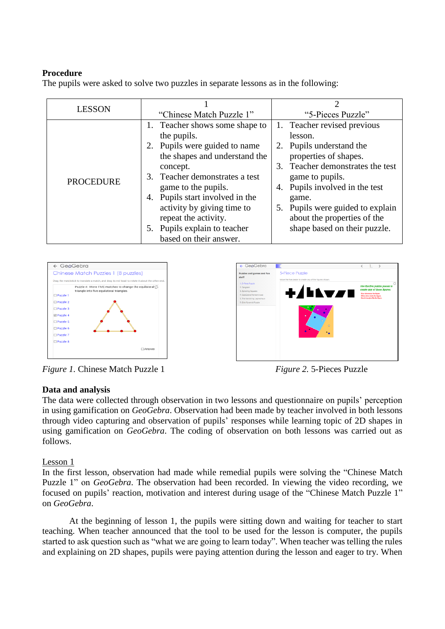## **Procedure**

The pupils were asked to solve two puzzles in separate lessons as in the following:

| <b>LESSON</b>    | "Chinese Match Puzzle 1"                                                                                                                                                                                                                                                                                                                | "5-Pieces Puzzle"                                                                                                                                                                                                                                                                                   |  |  |  |  |
|------------------|-----------------------------------------------------------------------------------------------------------------------------------------------------------------------------------------------------------------------------------------------------------------------------------------------------------------------------------------|-----------------------------------------------------------------------------------------------------------------------------------------------------------------------------------------------------------------------------------------------------------------------------------------------------|--|--|--|--|
| <b>PROCEDURE</b> | 1. Teacher shows some shape to<br>the pupils.<br>2. Pupils were guided to name<br>the shapes and understand the<br>concept.<br>3. Teacher demonstrates a test<br>game to the pupils.<br>4. Pupils start involved in the<br>activity by giving time to<br>repeat the activity.<br>5. Pupils explain to teacher<br>based on their answer. | 1. Teacher revised previous<br>lesson.<br>2. Pupils understand the<br>properties of shapes.<br>3. Teacher demonstrates the test<br>game to pupils.<br>Pupils involved in the test<br>4.<br>game.<br>5. Pupils were guided to explain<br>about the properties of the<br>shape based on their puzzle. |  |  |  |  |





*Figure 1.* Chinese Match Puzzle 1 *Figure 2.* 5-Pieces Puzzle

## **Data and analysis**

The data were collected through observation in two lessons and questionnaire on pupils' perception in using gamification on *GeoGebra*. Observation had been made by teacher involved in both lessons through video capturing and observation of pupils' responses while learning topic of 2D shapes in using gamification on *GeoGebra*. The coding of observation on both lessons was carried out as follows.

#### Lesson 1

In the first lesson, observation had made while remedial pupils were solving the "Chinese Match Puzzle 1" on *GeoGebra*. The observation had been recorded. In viewing the video recording, we focused on pupils' reaction, motivation and interest during usage of the "Chinese Match Puzzle 1" on *GeoGebra*.

At the beginning of lesson 1, the pupils were sitting down and waiting for teacher to start teaching. When teacher announced that the tool to be used for the lesson is computer, the pupils started to ask question such as "what we are going to learn today". When teacher was telling the rules and explaining on 2D shapes, pupils were paying attention during the lesson and eager to try. When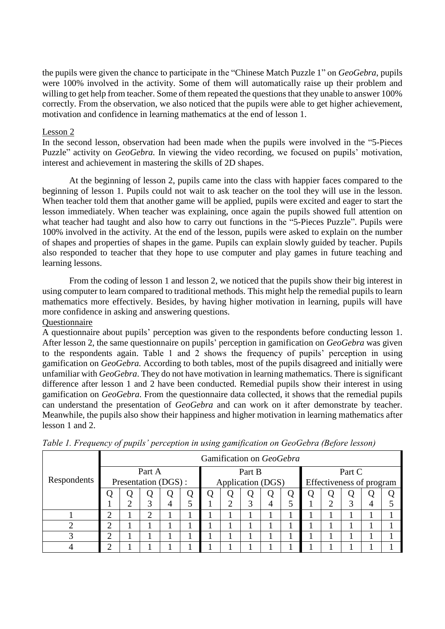the pupils were given the chance to participate in the "Chinese Match Puzzle 1" on *GeoGebra*, pupils were 100% involved in the activity. Some of them will automatically raise up their problem and willing to get help from teacher. Some of them repeated the questions that they unable to answer 100% correctly. From the observation, we also noticed that the pupils were able to get higher achievement, motivation and confidence in learning mathematics at the end of lesson 1.

#### Lesson 2

In the second lesson, observation had been made when the pupils were involved in the "5-Pieces Puzzle" activity on *GeoGebra.* In viewing the video recording, we focused on pupils' motivation, interest and achievement in mastering the skills of 2D shapes.

At the beginning of lesson 2, pupils came into the class with happier faces compared to the beginning of lesson 1. Pupils could not wait to ask teacher on the tool they will use in the lesson. When teacher told them that another game will be applied, pupils were excited and eager to start the lesson immediately. When teacher was explaining, once again the pupils showed full attention on what teacher had taught and also how to carry out functions in the "5-Pieces Puzzle". Pupils were 100% involved in the activity. At the end of the lesson, pupils were asked to explain on the number of shapes and properties of shapes in the game. Pupils can explain slowly guided by teacher. Pupils also responded to teacher that they hope to use computer and play games in future teaching and learning lessons.

From the coding of lesson 1 and lesson 2, we noticed that the pupils show their big interest in using computer to learn compared to traditional methods. This might help the remedial pupils to learn mathematics more effectively. Besides, by having higher motivation in learning, pupils will have more confidence in asking and answering questions. Questionnaire

A questionnaire about pupils' perception was given to the respondents before conducting lesson 1. After lesson 2, the same questionnaire on pupils' perception in gamification on *GeoGebra* was given to the respondents again. Table 1 and 2 shows the frequency of pupils' perception in using gamification on *GeoGebra.* According to both tables, most of the pupils disagreed and initially were unfamiliar with *GeoGebra*. They do not have motivation in learning mathematics. There is significant difference after lesson 1 and 2 have been conducted. Remedial pupils show their interest in using gamification on *GeoGebra*. From the questionnaire data collected, it shows that the remedial pupils can understand the presentation of *GeoGebra* and can work on it after demonstrate by teacher. Meanwhile, the pupils also show their happiness and higher motivation in learning mathematics after lesson 1 and 2.

|             | Gamification on GeoGebra |                      |                |   |  |        |                   |   |   |        |                          |   |   |   |  |
|-------------|--------------------------|----------------------|----------------|---|--|--------|-------------------|---|---|--------|--------------------------|---|---|---|--|
|             | Part A                   |                      |                |   |  | Part B |                   |   |   | Part C |                          |   |   |   |  |
| Respondents |                          | Presentation (DGS) : |                |   |  |        | Application (DGS) |   |   |        | Effectiveness of program |   |   |   |  |
|             |                          |                      | Q              |   |  |        |                   | Ő | Q |        |                          | U |   |   |  |
|             |                          | ി                    | 3              | 4 |  |        | ◠                 | 3 | 4 |        |                          |   | 3 | 4 |  |
|             | ↑                        |                      | $\overline{2}$ |   |  |        |                   |   |   |        |                          |   |   |   |  |
| ി           | ↑                        |                      |                |   |  |        |                   |   |   |        |                          |   |   |   |  |
| っ           | ↑                        |                      |                |   |  |        |                   |   |   |        |                          |   |   |   |  |
|             | ⌒                        |                      |                |   |  |        |                   |   |   |        |                          |   |   |   |  |

*Table 1. Frequency of pupils' perception in using gamification on GeoGebra (Before lesson)*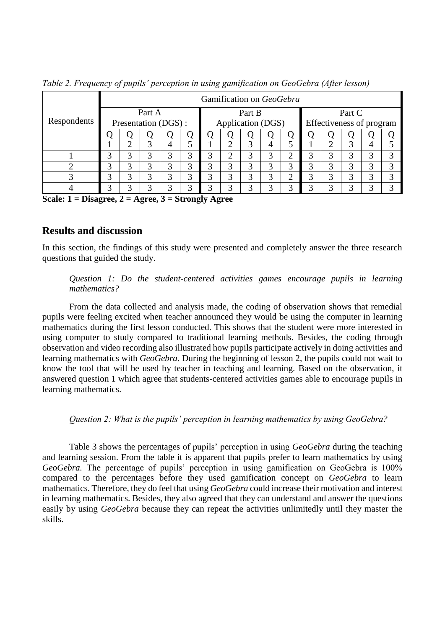|             | Gamification on GeoGebra      |   |   |                   |   |        |                   |   |   |                     |                          |   |   |   |                   |
|-------------|-------------------------------|---|---|-------------------|---|--------|-------------------|---|---|---------------------|--------------------------|---|---|---|-------------------|
| Respondents | Part A<br>Presentation (DGS): |   |   |                   |   | Part B |                   |   |   | Part C              |                          |   |   |   |                   |
|             |                               |   |   |                   |   |        | Application (DGS) |   |   |                     | Effectiveness of program |   |   |   |                   |
|             |                               |   | Ų |                   |   |        | 0                 | Q | Q | Q                   | Q                        |   | Ő |   |                   |
|             |                               | ◠ | 3 | 4                 |   |        | ◠                 | 3 | 4 |                     |                          | ∍ | 3 | 4 |                   |
|             | 3                             | 3 | 3 | 3                 | 3 | 3      | ◠                 | 3 | 3 | ◠<br>∠              | 3                        | 3 | 3 | 3 | 3                 |
|             | 3                             | 3 | 3 | 3                 |   |        | 3                 | 3 | 3 | 3                   | 3                        | 3 | 3 | 3 | 2                 |
| 3           | 3                             | 3 | 3 | 3                 | 3 | 3      | 3                 | 3 | 3 | ↑<br>$\overline{ }$ | 3                        | 3 | 3 | 3 | 3                 |
|             | 3                             | 3 | 3 | $\mathbf{\Omega}$ | 2 |        | 3                 | 3 | 3 | 3                   | 3                        | 3 | 3 | 3 | $\mathbf{\Omega}$ |

*Table 2. Frequency of pupils' perception in using gamification on GeoGebra (After lesson)*

**Scale: 1 = Disagree, 2 = Agree, 3 = Strongly Agree**

## **Results and discussion**

In this section, the findings of this study were presented and completely answer the three research questions that guided the study.

#### *Question 1: Do the student-centered activities games encourage pupils in learning mathematics?*

From the data collected and analysis made, the coding of observation shows that remedial pupils were feeling excited when teacher announced they would be using the computer in learning mathematics during the first lesson conducted. This shows that the student were more interested in using computer to study compared to traditional learning methods. Besides, the coding through observation and video recording also illustrated how pupils participate actively in doing activities and learning mathematics with *GeoGebra*. During the beginning of lesson 2, the pupils could not wait to know the tool that will be used by teacher in teaching and learning. Based on the observation, it answered question 1 which agree that students-centered activities games able to encourage pupils in learning mathematics.

#### *Question 2: What is the pupils' perception in learning mathematics by using GeoGebra?*

Table 3 shows the percentages of pupils' perception in using *GeoGebra* during the teaching and learning session. From the table it is apparent that pupils prefer to learn mathematics by using *GeoGebra.* The percentage of pupils' perception in using gamification on GeoGebra is 100% compared to the percentages before they used gamification concept on *GeoGebra* to learn mathematics. Therefore, they do feel that using *GeoGebra* could increase their motivation and interest in learning mathematics. Besides, they also agreed that they can understand and answer the questions easily by using *GeoGebra* because they can repeat the activities unlimitedly until they master the skills.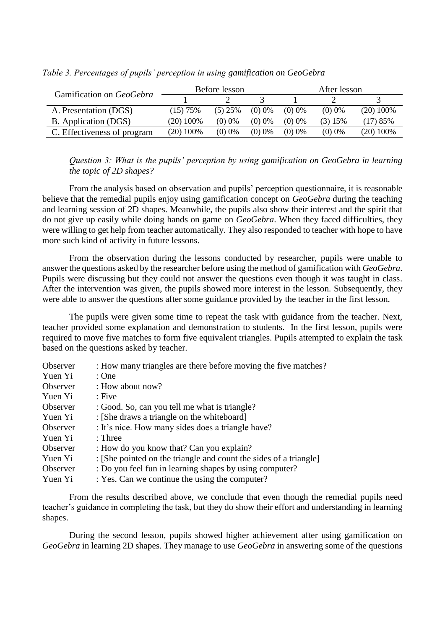| Gamification on GeoGebra    |             | Before lesson |           | After lesson |           |             |  |
|-----------------------------|-------------|---------------|-----------|--------------|-----------|-------------|--|
|                             |             |               |           |              |           |             |  |
| A. Presentation (DGS)       | (15) 75%    | $(5)$ 25%     | $(0)$ 0%  | $(0)$ 0%     | $(0)$ 0%  | $(20)$ 100% |  |
| B. Application (DGS)        | $(20)$ 100% | $(0)$ 0%      | $(0)$ 0\% | $(0)$ 0\%    | $(3)$ 15% | (17) 85%    |  |
| C. Effectiveness of program | $(20)$ 100% | $(0)$ 0%      | $(0)$ 0%  | $(0)$ 0%     | $(0)$ 0%  | $(20)$ 100% |  |

*Table 3. Percentages of pupils' perception in using gamification on GeoGebra*

*Question 3: What is the pupils' perception by using gamification on GeoGebra in learning the topic of 2D shapes?*

From the analysis based on observation and pupils' perception questionnaire, it is reasonable believe that the remedial pupils enjoy using gamification concept on *GeoGebra* during the teaching and learning session of 2D shapes. Meanwhile, the pupils also show their interest and the spirit that do not give up easily while doing hands on game on *GeoGebra*. When they faced difficulties, they were willing to get help from teacher automatically. They also responded to teacher with hope to have more such kind of activity in future lessons.

From the observation during the lessons conducted by researcher, pupils were unable to answer the questions asked by the researcher before using the method of gamification with *GeoGebra*. Pupils were discussing but they could not answer the questions even though it was taught in class. After the intervention was given, the pupils showed more interest in the lesson. Subsequently, they were able to answer the questions after some guidance provided by the teacher in the first lesson.

The pupils were given some time to repeat the task with guidance from the teacher. Next, teacher provided some explanation and demonstration to students. In the first lesson, pupils were required to move five matches to form five equivalent triangles. Pupils attempted to explain the task based on the questions asked by teacher.

| Observer | : How many triangles are there before moving the five matches?    |
|----------|-------------------------------------------------------------------|
| Yuen Yi  | : One                                                             |
| Observer | : How about now?                                                  |
| Yuen Yi  | : Five                                                            |
| Observer | : Good. So, can you tell me what is triangle?                     |
| Yuen Yi  | : [She draws a triangle on the whiteboard]                        |
| Observer | : It's nice. How many sides does a triangle have?                 |
| Yuen Yi  | $:$ Three                                                         |
| Observer | : How do you know that? Can you explain?                          |
| Yuen Yi  | : [She pointed on the triangle and count the sides of a triangle] |
| Observer | : Do you feel fun in learning shapes by using computer?           |
| Yuen Yi  | : Yes. Can we continue the using the computer?                    |

From the results described above, we conclude that even though the remedial pupils need teacher's guidance in completing the task, but they do show their effort and understanding in learning shapes.

During the second lesson, pupils showed higher achievement after using gamification on *GeoGebra* in learning 2D shapes. They manage to use *GeoGebra* in answering some of the questions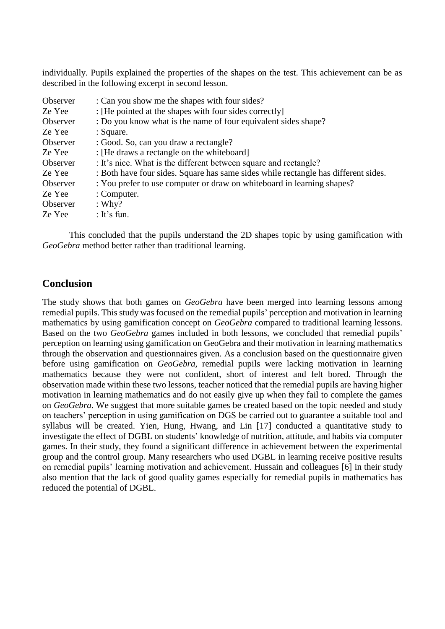individually. Pupils explained the properties of the shapes on the test. This achievement can be as described in the following excerpt in second lesson.

| Observer | : Can you show me the shapes with four sides?                                      |
|----------|------------------------------------------------------------------------------------|
| Ze Yee   | : [He pointed at the shapes with four sides correctly]                             |
| Observer | : Do you know what is the name of four equivalent sides shape?                     |
| Ze Yee   | : Square.                                                                          |
| Observer | : Good. So, can you draw a rectangle?                                              |
| Ze Yee   | : [He draws a rectangle on the whiteboard]                                         |
| Observer | : It's nice. What is the different between square and rectangle?                   |
| Ze Yee   | : Both have four sides. Square has same sides while rectangle has different sides. |
| Observer | : You prefer to use computer or draw on whiteboard in learning shapes?             |
| Ze Yee   | : Computer.                                                                        |
| Observer | : Why?                                                                             |
| Ze Yee   | : It's fun.                                                                        |

This concluded that the pupils understand the 2D shapes topic by using gamification with *GeoGebra* method better rather than traditional learning.

## **Conclusion**

The study shows that both games on *GeoGebra* have been merged into learning lessons among remedial pupils. This study was focused on the remedial pupils' perception and motivation in learning mathematics by using gamification concept on *GeoGebra* compared to traditional learning lessons. Based on the two *GeoGebra* games included in both lessons, we concluded that remedial pupils' perception on learning using gamification on GeoGebra and their motivation in learning mathematics through the observation and questionnaires given. As a conclusion based on the questionnaire given before using gamification on *GeoGebra,* remedial pupils were lacking motivation in learning mathematics because they were not confident, short of interest and felt bored. Through the observation made within these two lessons, teacher noticed that the remedial pupils are having higher motivation in learning mathematics and do not easily give up when they fail to complete the games on *GeoGebra*. We suggest that more suitable games be created based on the topic needed and study on teachers' perception in using gamification on DGS be carried out to guarantee a suitable tool and syllabus will be created. Yien, Hung, Hwang, and Lin [17] conducted a quantitative study to investigate the effect of DGBL on students' knowledge of nutrition, attitude, and habits via computer games. In their study, they found a significant difference in achievement between the experimental group and the control group. Many researchers who used DGBL in learning receive positive results on remedial pupils' learning motivation and achievement. Hussain and colleagues [6] in their study also mention that the lack of good quality games especially for remedial pupils in mathematics has reduced the potential of DGBL.